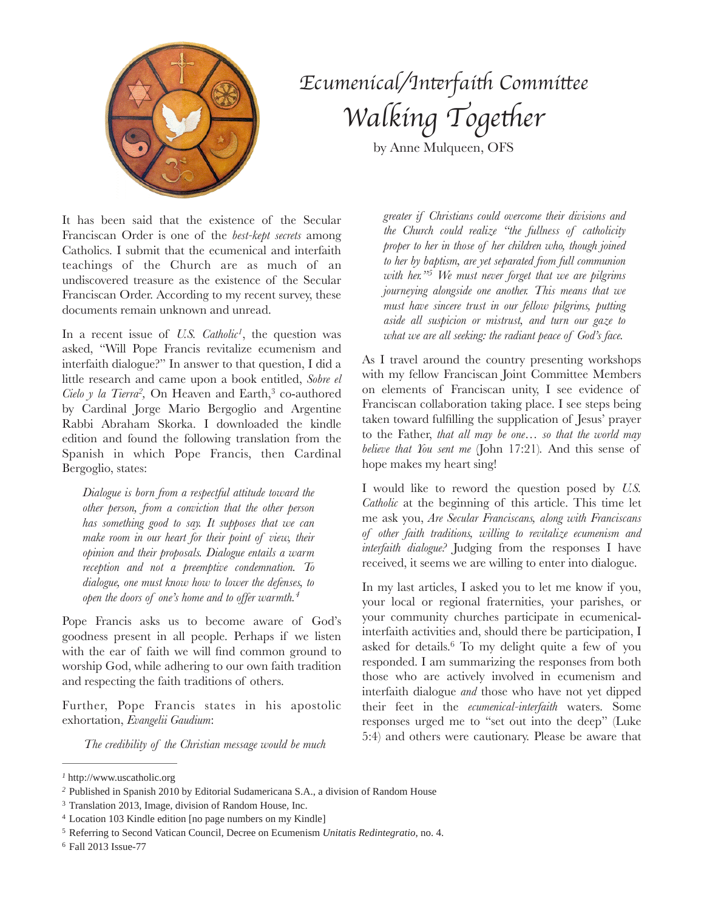

## *Ecumenical/In*t*rfai*t *Commi*t*ee Walking* Together

by Anne Mulqueen, OFS

It has been said that the existence of the Secular Franciscan Order is one of the *best-kept secrets* among Catholics. I submit that the ecumenical and interfaith teachings of the Church are as much of an undiscovered treasure as the existence of the Secular Franciscan Order. According to my recent survey, these documents remain unknown and unread.

In a recent issue of *U.S. Catholic<sup>1</sup>*, the question was asked, "Will Pope Francis revitalize ecumenism and interfaith dialogue?" In answer to that question, I did a little research and came upon a book entitled, *Sobre el Cielo y la Tierra<sup>2</sup>*, On Heaven and Earth,<sup>3</sup> co-authored by Cardinal Jorge Mario Bergoglio and Argentine Rabbi Abraham Skorka. I downloaded the kindle edition and found the following translation from the Spanish in which Pope Francis, then Cardinal Bergoglio, states:

*Dialogue is born from a respectful attitude toward the other person, from a conviction that the other person has something good to say. It supposes that we can make room in our heart for their point of view, their opinion and their proposals. Dialogue entails a warm reception and not a preemptive condemnation. To dialogue, one must know how to lower the defenses, to open the doors of one's home and to offer warmth. 4*

Pope Francis asks us to become aware of God's goodness present in all people. Perhaps if we listen with the ear of faith we will find common ground to worship God, while adhering to our own faith tradition and respecting the faith traditions of others.

Further, Pope Francis states in his apostolic exhortation, *Evangelii Gaudium*:

*The credibility of the Christian message would be much* 

*greater if Christians could overcome their divisions and the Church could realize "the fullness of catholicity proper to her in those of her children who, though joined to her by baptism, are yet separated from full communion with her.*<sup>25</sup> *We must never forget that we are pilgrims journeying alongside one another. This means that we must have sincere trust in our fellow pilgrims, putting aside all suspicion or mistrust, and turn our gaze to what we are all seeking: the radiant peace of God's face.* 

As I travel around the country presenting workshops with my fellow Franciscan Joint Committee Members on elements of Franciscan unity, I see evidence of Franciscan collaboration taking place. I see steps being taken toward fulfilling the supplication of Jesus' prayer to the Father, *that all may be one… so that the world may believe that You sent me* (John 17:21)*.* And this sense of hope makes my heart sing!

I would like to reword the question posed by *U.S. Catholic* at the beginning of this article. This time let me ask you, *Are Secular Franciscans, along with Franciscans of other faith traditions, willing to revitalize ecumenism and interfaith dialogue?* Judging from the responses I have received, it seems we are willing to enter into dialogue.

In my last articles, I asked you to let me know if you, your local or regional fraternities, your parishes, or your community churches participate in ecumenicalinterfaith activities and, should there be participation, I asked for details.<sup>6</sup> To my delight quite a few of you responded. I am summarizing the responses from both those who are actively involved in ecumenism and interfaith dialogue *and* those who have not yet dipped their feet in the *ecumenical-interfaith* waters. Some responses urged me to "set out into the deep" (Luke 5:4) and others were cautionary. Please be aware that

http://www.uscatholic.org *<sup>1</sup>*

Published in Spanish 2010 by Editorial Sudamericana S.A., a division of Random House *<sup>2</sup>*

<sup>&</sup>lt;sup>3</sup> Translation 2013, Image, division of Random House, Inc.

<sup>&</sup>lt;sup>4</sup> Location 103 Kindle edition [no page numbers on my Kindle]

Referring to Second Vatican Council, Decree on Ecumenism *Unitatis Redintegratio*, no. 4. <sup>5</sup>

<sup>&</sup>lt;sup>6</sup> Fall 2013 Issue-77